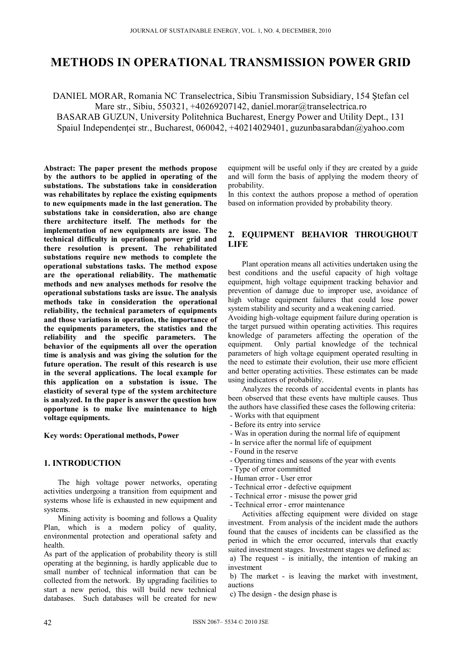# **METHODS IN OPERATIONAL TRANSMISSION POWER GRID**

DANIEL MORAR, Romania NC Transelectrica, Sibiu Transmission Subsidiary, 154 Ştefan cel Mare str., Sibiu, 550321, +40269207142, daniel.morar@transelectrica.ro BASARAB GUZUN, University Politehnica Bucharest, Energy Power and Utility Dept., 131

Spaiul Independentei str., Bucharest, 060042, +40214029401, guzunbasarabdan@yahoo.com

**Abstract: The paper present the methods propose by the authors to be applied in operating of the substations. The substations take in consideration was rehabilitates by replace the existing equipments to new equipments made in the last generation. The substations take in consideration, also are change there architecture itself. The methods for the implementation of new equipments are issue. The technical difficulty in operational power grid and there resolution is present. The rehabilitated substations require new methods to complete the operational substations tasks. The method expose are the operational reliability. The mathematic methods and new analyses methods for resolve the operational substations tasks are issue. The analysis methods take in consideration the operational reliability, the technical parameters of equipments and those variations in operation, the importance of the equipments parameters, the statistics and the reliability and the specific parameters. The behavior of the equipments all over the operation time is analysis and was giving the solution for the future operation. The result of this research is use in the several applications. The local example for this application on a substation is issue. The elasticity of several type of the system architecture is analyzed. In the paper is answer the question how opportune is to make live maintenance to high voltage equipments.** 

**Key words: Operational methods, Power** 

#### **1. INTRODUCTION**

The high voltage power networks, operating activities undergoing a transition from equipment and systems whose life is exhausted in new equipment and systems.

Mining activity is booming and follows a Quality Plan, which is a modern policy of quality, environmental protection and operational safety and health.

As part of the application of probability theory is still operating at the beginning, is hardly applicable due to small number of technical information that can be collected from the network. By upgrading facilities to start a new period, this will build new technical databases. Such databases will be created for new

equipment will be useful only if they are created by a guide and will form the basis of applying the modern theory of probability.

In this context the authors propose a method of operation based on information provided by probability theory.

## **2. EQUIPMENT BEHAVIOR THROUGHOUT LIFE**

Plant operation means all activities undertaken using the best conditions and the useful capacity of high voltage equipment, high voltage equipment tracking behavior and prevention of damage due to improper use, avoidance of high voltage equipment failures that could lose power system stability and security and a weakening carried.

Avoiding high-voltage equipment failure during operation is the target pursued within operating activities. This requires knowledge of parameters affecting the operation of the equipment. Only partial knowledge of the technical parameters of high voltage equipment operated resulting in the need to estimate their evolution, their use more efficient and better operating activities. These estimates can be made using indicators of probability.

Analyzes the records of accidental events in plants has been observed that these events have multiple causes. Thus the authors have classified these cases the following criteria: - Works with that equipment

- Before its entry into service
- Was in operation during the normal life of equipment
- In service after the normal life of equipment
- Found in the reserve
- Operating times and seasons of the year with events
- Type of error committed
- Human error User error
- Technical error defective equipment
- Technical error misuse the power grid
- Technical error error maintenance

Activities affecting equipment were divided on stage investment. From analysis of the incident made the authors found that the causes of incidents can be classified as the period in which the error occurred, intervals that exactly suited investment stages. Investment stages we defined as:

 a) The request - is initially, the intention of making an investment

 b) The market - is leaving the market with investment, auctions

c) The design - the design phase is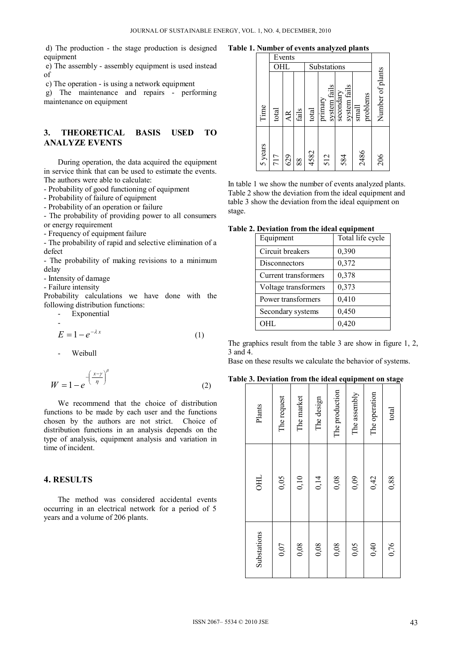d) The production - the stage production is designed equipment

 e) The assembly - assembly equipment is used instead of

c) The operation - is using a network equipment

 g) The maintenance and repairs - performing maintenance on equipment

### **3. THEORETICAL BASIS USED TO ANALYZE EVENTS**

 During operation, the data acquired the equipment in service think that can be used to estimate the events. The authors were able to calculate:

- Probability of good functioning of equipment

- Probability of failure of equipment

- Probability of an operation or failure

- The probability of providing power to all consumers or energy requirement

- Frequency of equipment failure

- The probability of rapid and selective elimination of a defect

- The probability of making revisions to a minimum delay

- Intensity of damage

- Failure intensity

Probability calculations we have done with the following distribution functions:

- Exponential

$$
E = 1 - e^{-\lambda x} \tag{1}
$$

Weibull

$$
W = 1 - e^{-\left(\frac{x - \gamma}{\eta}\right)^{\beta}}
$$
 (2)

We recommend that the choice of distribution functions to be made by each user and the functions chosen by the authors are not strict. Choice of distribution functions in an analysis depends on the type of analysis, equipment analysis and variation in time of incident.

### **4. RESULTS**

The method was considered accidental events occurring in an electrical network for a period of 5 years and a volume of 206 plants.

**Table 1. Number of events analyzed plants** 

|         |       | Events |       |             |                         |                           |                                           |                  |
|---------|-------|--------|-------|-------------|-------------------------|---------------------------|-------------------------------------------|------------------|
|         | OHL   |        |       | Substations |                         |                           |                                           |                  |
| Time    | total | AR.    | fails | total       | system fails<br>primary | system fails<br>secondary | problems<br>$\ensuremath{\mathsf{small}}$ | Number of plants |
| 5 years | 717   | 629    | 88    | 4582        | 512                     | 584                       | 2486                                      | 206              |

In table 1 we show the number of events analyzed plants. Table 2 show the deviation from the ideal equipment and table 3 show the deviation from the ideal equipment on stage.

#### **Table 2. Deviation from the ideal equipment**

| Equipment            | Total life cycle |
|----------------------|------------------|
| Circuit breakers     | 0,390            |
| Disconnectors        | 0,372            |
| Current transformers | 0,378            |
| Voltage transformers | 0,373            |
| Power transformers   | 0,410            |
| Secondary systems    | 0,450            |
| OHL.                 | 0,420            |

The graphics result from the table 3 are show in figure 1, 2, 3 and 4.

Base on these results we calculate the behavior of systems.

**Table 3. Deviation from the ideal equipment on stage** 

| Plants      | The request | The market | The design | The production | The assembly | The operation | total |
|-------------|-------------|------------|------------|----------------|--------------|---------------|-------|
| <b>OHL</b>  | 0,05        | 0,10       | 0,14       | 0,08           | 0,09         | 0,42          | 0,88  |
| Substations | 0,07        | 0,08       | 0,08       | 0,08           | 0,05         | 0,40          | 0,76  |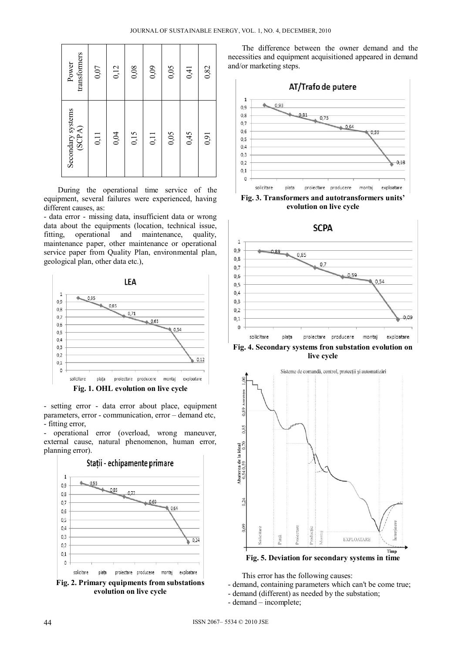| transformers<br>Power       | 0,07 | 0,12 | 0,08 | 0,09 | 0,05 | 0,41 | 0,82 |
|-----------------------------|------|------|------|------|------|------|------|
| Secondary systems<br>(SCPA) | 0,11 | 0,04 | 0,15 | 0,11 | 0,05 | 0,45 | 0,91 |

During the operational time service of the equipment, several failures were experienced, having different causes, as:

- data error - missing data, insufficient data or wrong data about the equipments (location, technical issue, fitting, operational and maintenance, quality, maintenance paper, other maintenance or operational service paper from Quality Plan, environmental plan, geological plan, other data etc.),



- setting error - data error about place, equipment parameters, error - communication, error – demand etc, - fitting error,

- operational error (overload, wrong maneuver, external cause, natural phenomenon, human error, planning error).



The difference between the owner demand and the necessities and equipment acquisitioned appeared in demand and/or marketing steps.



**Fig. 3. Transformers and autotransformers units' evolution on live cycle** 



**live cycle** 



This error has the following causes:

- demand, containing parameters which can't be come true;
- demand (different) as needed by the substation;
- demand incomplete;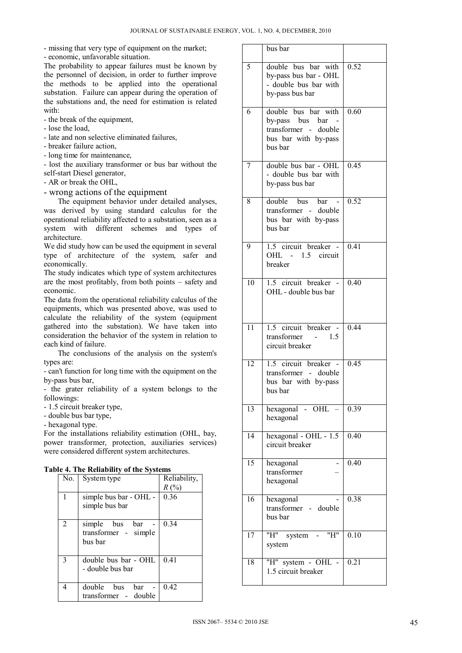- missing that very type of equipment on the market;

- economic, unfavorable situation.

The probability to appear failures must be known by the personnel of decision, in order to further improve the methods to be applied into the operational substation. Failure can appear during the operation of the substations and, the need for estimation is related with:

- the break of the equipment,

- lose the load,
- late and non selective eliminated failures,
- breaker failure action,
- long time for maintenance,

- lost the auxiliary transformer or bus bar without the self-start Diesel generator,

- AR or break the OHL,
- wrong actions of the equipment

The equipment behavior under detailed analyses, was derived by using standard calculus for the operational reliability affected to a substation, seen as a system with different schemes and types of architecture.

We did study how can be used the equipment in several type of architecture of the system, safer and economically.

The study indicates which type of system architectures are the most profitably, from both points – safety and economic.

The data from the operational reliability calculus of the equipments, which was presented above, was used to calculate the reliability of the system (equipment gathered into the substation). We have taken into consideration the behavior of the system in relation to each kind of failure.

The conclusions of the analysis on the system's types are:

- can't function for long time with the equipment on the by-pass bus bar,

- the grater reliability of a system belongs to the followings:

- 1.5 circuit breaker type,

- double bus bar type,

- hexagonal type.

For the installations reliability estimation (OHL, bay, power transformer, protection, auxiliaries services) were considered different system architectures.

|  |  | Table 4. The Reliability of the Systems |  |  |
|--|--|-----------------------------------------|--|--|
|--|--|-----------------------------------------|--|--|

|     | $\ldots$ and accumulately of the $\omega$ stems |              |
|-----|-------------------------------------------------|--------------|
| No. | System type                                     | Reliability, |
|     |                                                 | R(%)         |
|     | simple bus bar - OHL -                          | 0.36         |
|     | simple bus bar                                  |              |
|     |                                                 |              |
| 2   | simple bus<br>bar                               | 0.34         |
|     | transformer - simple                            |              |
|     | bus bar                                         |              |
|     |                                                 |              |
|     | double bus bar - OHL                            | 0.41         |
|     | - double bus bar                                |              |
|     |                                                 |              |
|     | double<br>bus<br>bar                            | 0.42         |
|     | transformer - double                            |              |
|     |                                                 |              |

|                 | bus bar                                                                                           |                   |
|-----------------|---------------------------------------------------------------------------------------------------|-------------------|
| 5               | double bus bar with<br>by-pass bus bar - OHL<br>- double bus bar with<br>by-pass bus bar          | 0.52              |
| 6               | double bus bar with<br>by-pass bus bar<br>transformer - double<br>bus bar with by-pass<br>bus bar | 0.60              |
| 7               | double bus bar - OHL<br>- double bus bar with<br>by-pass bus bar                                  | 0.45              |
| 8               | double<br><b>bus</b><br>bar<br>transformer - double<br>bus bar with by-pass<br>bus bar            | 0.52              |
| 9               | $\overline{1.5}$ circuit breaker -<br>OHL - 1.5 circuit<br>breaker                                | 0.41              |
| 10              | 1.5 circuit breaker<br>OHL - double bus bar                                                       | 0.40              |
| 11              | 1.5 circuit breaker -<br>1.5<br>transformer<br>circuit breaker                                    | 0.44              |
| 12              | 1.5 circuit breaker<br>transformer - double<br>bus bar with by-pass<br>bus bar                    | 0.45              |
| $\overline{13}$ | hexagonal - $OHL$ -<br>hexagonal                                                                  | 0.39              |
| 14              | hexagonal - OHL - 1.5<br>circuit breaker                                                          | $\overline{0.40}$ |
| $\overline{15}$ | hexagonal<br>transformer<br>hexagonal                                                             | 0.40              |
| 16              | hexagonal<br>transformer - double<br>bus bar                                                      | 0.38              |
| 17              | "H" system - "H"<br>system                                                                        | 0.10              |
| 18              | "H" system - OHL<br>1.5 circuit breaker                                                           | 0.21              |